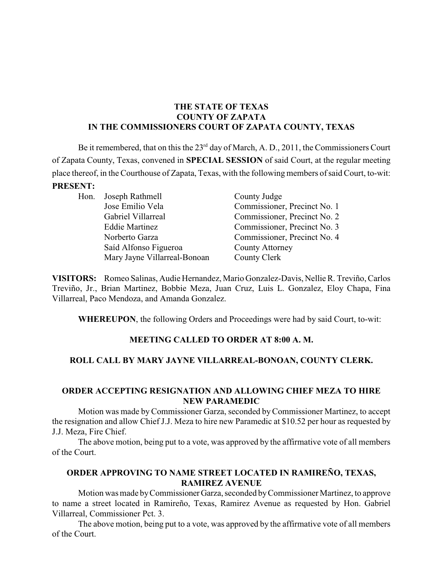### **THE STATE OF TEXAS COUNTY OF ZAPATA IN THE COMMISSIONERS COURT OF ZAPATA COUNTY, TEXAS**

Be it remembered, that on this the  $23<sup>rd</sup>$  day of March, A. D., 2011, the Commissioners Court of Zapata County, Texas, convened in **SPECIAL SESSION** of said Court, at the regular meeting place thereof, in the Courthouse of Zapata, Texas, with the following members of said Court, to-wit: **PRESENT:**

| Hon. Joseph Rathmell         | County Judge                 |
|------------------------------|------------------------------|
| Jose Emilio Vela             | Commissioner, Precinct No. 1 |
| Gabriel Villarreal           | Commissioner, Precinct No. 2 |
| <b>Eddie Martinez</b>        | Commissioner, Precinct No. 3 |
| Norberto Garza               | Commissioner, Precinct No. 4 |
| Saíd Alfonso Figueroa        | <b>County Attorney</b>       |
| Mary Jayne Villarreal-Bonoan | County Clerk                 |

**VISITORS:** Romeo Salinas, Audie Hernandez, Mario Gonzalez-Davis, Nellie R. Treviño, Carlos Treviño, Jr., Brian Martinez, Bobbie Meza, Juan Cruz, Luis L. Gonzalez, Eloy Chapa, Fina Villarreal, Paco Mendoza, and Amanda Gonzalez.

**WHEREUPON**, the following Orders and Proceedings were had by said Court, to-wit:

# **MEETING CALLED TO ORDER AT 8:00 A. M.**

# **ROLL CALL BY MARY JAYNE VILLARREAL-BONOAN, COUNTY CLERK.**

### **ORDER ACCEPTING RESIGNATION AND ALLOWING CHIEF MEZA TO HIRE NEW PARAMEDIC**

Motion was made by Commissioner Garza, seconded byCommissioner Martinez, to accept the resignation and allow Chief J.J. Meza to hire new Paramedic at \$10.52 per hour as requested by J.J. Meza, Fire Chief.

The above motion, being put to a vote, was approved by the affirmative vote of all members of the Court.

# **ORDER APPROVING TO NAME STREET LOCATED IN RAMIREÑO, TEXAS, RAMIREZ AVENUE**

Motion was made byCommissionerGarza, seconded byCommissioner Martinez, to approve to name a street located in Ramireño, Texas, Ramirez Avenue as requested by Hon. Gabriel Villarreal, Commissioner Pct. 3.

The above motion, being put to a vote, was approved by the affirmative vote of all members of the Court.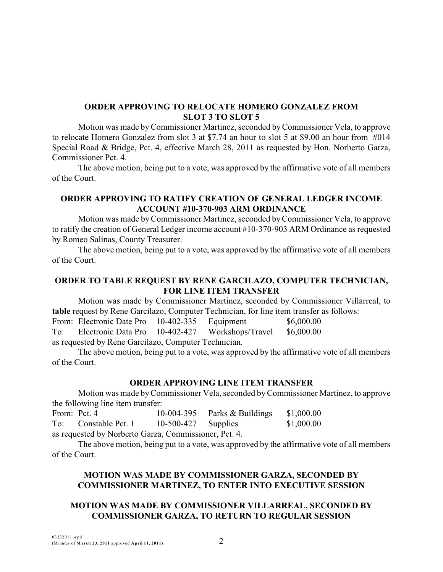## **ORDER APPROVING TO RELOCATE HOMERO GONZALEZ FROM SLOT 3 TO SLOT 5**

Motion was made byCommissioner Martinez, seconded byCommissioner Vela, to approve to relocate Homero Gonzalez from slot 3 at \$7.74 an hour to slot 5 at \$9.00 an hour from #014 Special Road & Bridge, Pct. 4, effective March 28, 2011 as requested by Hon. Norberto Garza, Commissioner Pct. 4.

The above motion, being put to a vote, was approved by the affirmative vote of all members of the Court.

## **ORDER APPROVING TO RATIFY CREATION OF GENERAL LEDGER INCOME ACCOUNT #10-370-903 ARM ORDINANCE**

Motion was made byCommissioner Martinez, seconded byCommissioner Vela, to approve to ratify the creation of General Ledger income account #10-370-903 ARM Ordinance as requested by Romeo Salinas, County Treasurer.

The above motion, being put to a vote, was approved by the affirmative vote of all members of the Court.

### **ORDER TO TABLE REQUEST BY RENE GARCILAZO, COMPUTER TECHNICIAN, FOR LINE ITEM TRANSFER**

Motion was made by Commissioner Martinez, seconded by Commissioner Villarreal, to **table** request by Rene Garcilazo, Computer Technician, for line item transfer as follows:

From: Electronic Date Pro 10-402-335 Equipment \$6,000.00 To: Electronic Data Pro 10-402-427 Workshops/Travel \$6,000.00 as requested by Rene Garcilazo, Computer Technician.

The above motion, being put to a vote, was approved by the affirmative vote of all members of the Court.

### **ORDER APPROVING LINE ITEM TRANSFER**

Motion was made byCommissioner Vela, seconded byCommissioner Martinez, to approve the following line item transfer:

| From: Pct. 4                                          |                      |                       | 10-004-395 Parks $&$ Buildings | \$1,000.00 |  |  |
|-------------------------------------------------------|----------------------|-----------------------|--------------------------------|------------|--|--|
|                                                       | To: Constable Pct. 1 | $10-500-427$ Supplies |                                | \$1,000.00 |  |  |
| as requested by Norberto Garza, Commissioner, Pct. 4. |                      |                       |                                |            |  |  |

The above motion, being put to a vote, was approved by the affirmative vote of all members of the Court.

# **MOTION WAS MADE BY COMMISSIONER GARZA, SECONDED BY COMMISSIONER MARTINEZ, TO ENTER INTO EXECUTIVE SESSION**

# **MOTION WAS MADE BY COMMISSIONER VILLARREAL, SECONDED BY COMMISSIONER GARZA, TO RETURN TO REGULAR SESSION**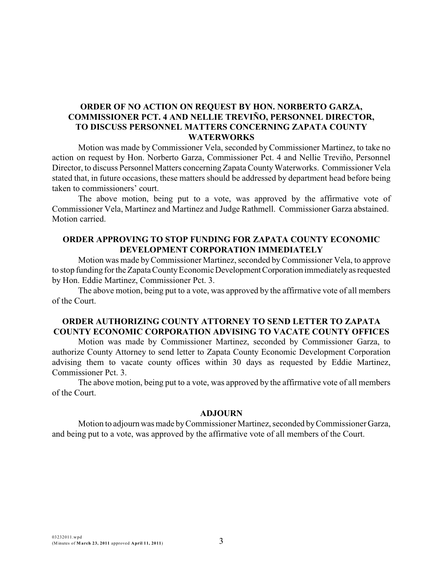## **ORDER OF NO ACTION ON REQUEST BY HON. NORBERTO GARZA, COMMISSIONER PCT. 4 AND NELLIE TREVIÑO, PERSONNEL DIRECTOR, TO DISCUSS PERSONNEL MATTERS CONCERNING ZAPATA COUNTY WATERWORKS**

Motion was made by Commissioner Vela, seconded by Commissioner Martinez, to take no action on request by Hon. Norberto Garza, Commissioner Pct. 4 and Nellie Treviño, Personnel Director, to discuss Personnel Matters concerning ZapataCountyWaterworks. Commissioner Vela stated that, in future occasions, these matters should be addressed by department head before being taken to commissioners' court.

The above motion, being put to a vote, was approved by the affirmative vote of Commissioner Vela, Martinez and Martinez and Judge Rathmell. Commissioner Garza abstained. Motion carried.

### **ORDER APPROVING TO STOP FUNDING FOR ZAPATA COUNTY ECONOMIC DEVELOPMENT CORPORATION IMMEDIATELY**

Motion was made byCommissioner Martinez, seconded byCommissioner Vela, to approve to stop funding for the Zapata County Economic Development Corporation immediately as requested by Hon. Eddie Martinez, Commissioner Pct. 3.

The above motion, being put to a vote, was approved by the affirmative vote of all members of the Court.

### **ORDER AUTHORIZING COUNTY ATTORNEY TO SEND LETTER TO ZAPATA COUNTY ECONOMIC CORPORATION ADVISING TO VACATE COUNTY OFFICES**

Motion was made by Commissioner Martinez, seconded by Commissioner Garza, to authorize County Attorney to send letter to Zapata County Economic Development Corporation advising them to vacate county offices within 30 days as requested by Eddie Martinez, Commissioner Pct. 3.

The above motion, being put to a vote, was approved by the affirmative vote of all members of the Court.

#### **ADJOURN**

Motion to adjourn was made byCommissioner Martinez, seconded byCommissioner Garza, and being put to a vote, was approved by the affirmative vote of all members of the Court.